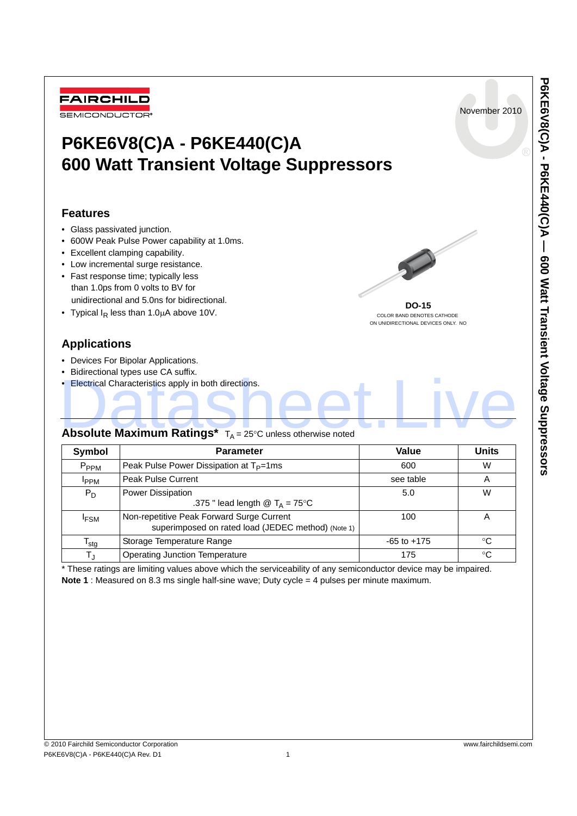

These ratings are limiting values above which the serviceability of any semiconductor device may be impaired. **Note 1** : Measured on 8.3 ms single half-sine wave; Duty cycle = 4 pulses per minute maximum.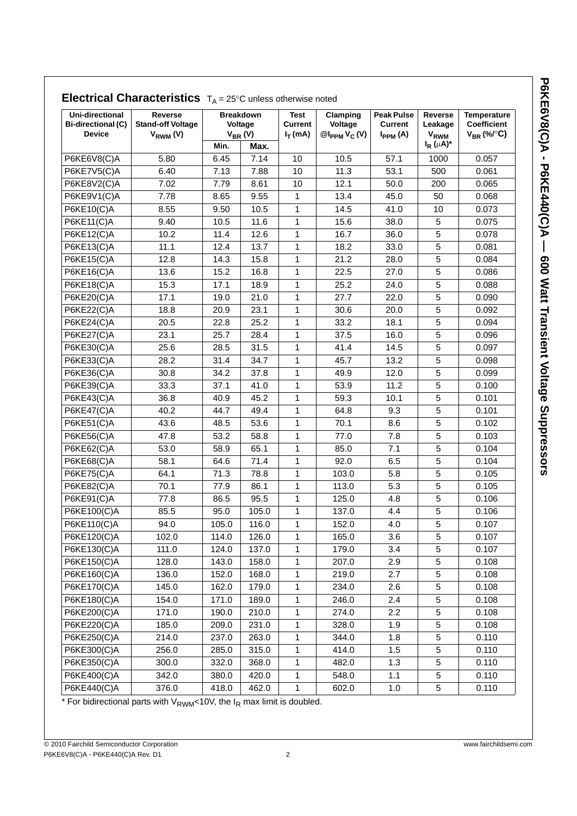|                                                                      |                                                      |       | <b>Electrical Characteristics</b> $T_A = 25^\circ$ C unless otherwise noted |                                      |                                         |                                                     |                                              |                                                             |  |
|----------------------------------------------------------------------|------------------------------------------------------|-------|-----------------------------------------------------------------------------|--------------------------------------|-----------------------------------------|-----------------------------------------------------|----------------------------------------------|-------------------------------------------------------------|--|
| <b>Uni-directional</b><br><b>Bi-directional (C)</b><br><b>Device</b> | Reverse<br><b>Stand-off Voltage</b><br>$V_{RWM} (V)$ | Min.  | <b>Breakdown</b><br>Voltage<br>$V_{BR} (V)$<br>Max.                         | Test<br><b>Current</b><br>$I_T$ (mA) | Clamping<br>Voltage<br>$@I_{PPM}V_C(V)$ | <b>Peak Pulse</b><br><b>Current</b><br>$I_{PPM}(A)$ | Reverse<br>Leakage<br>VRWM<br>$I_R(\mu A)^*$ | <b>Temperature</b><br><b>Coefficient</b><br>$V_{BR}$ (%/°C) |  |
| P6KE6V8(C)A                                                          | 5.80                                                 | 6.45  | 7.14                                                                        | 10                                   | 10.5                                    | 57.1                                                | 1000                                         | 0.057                                                       |  |
| P6KE7V5(C)A                                                          | 6.40                                                 | 7.13  | 7.88                                                                        | 10                                   | 11.3                                    | 53.1                                                | 500                                          | 0.061                                                       |  |
| P6KE8V2(C)A                                                          | 7.02                                                 | 7.79  | 8.61                                                                        | 10                                   | 12.1                                    | 50.0                                                | 200                                          | 0.065                                                       |  |
| P6KE9V1(C)A                                                          | 7.78                                                 | 8.65  | 9.55                                                                        | 1                                    | 13.4                                    | 45.0                                                | 50                                           | 0.068                                                       |  |
| P6KE10(C)A                                                           | 8.55                                                 | 9.50  | 10.5                                                                        | 1                                    | 14.5                                    | 41.0                                                | 10                                           | 0.073                                                       |  |
| P6KE11(C)A                                                           | 9.40                                                 | 10.5  | 11.6                                                                        | 1                                    | 15.6                                    | 38.0                                                | 5                                            | 0.075                                                       |  |
| P6KE12(C)A                                                           | 10.2                                                 | 11.4  | 12.6                                                                        | 1                                    | 16.7                                    | 36.0                                                | 5                                            | 0.078                                                       |  |
| P6KE13(C)A                                                           | 11.1                                                 | 12.4  | 13.7                                                                        | 1                                    | 18.2                                    | 33.0                                                | 5                                            | 0.081                                                       |  |
| P6KE15(C)A                                                           | 12.8                                                 | 14.3  | 15.8                                                                        | 1                                    | 21.2                                    | 28.0                                                | 5                                            | 0.084                                                       |  |
| P6KE16(C)A                                                           | 13.6                                                 | 15.2  | 16.8                                                                        | $\mathbf{1}$                         | 22.5                                    | 27.0                                                | 5                                            | 0.086                                                       |  |
| P6KE18(C)A                                                           | 15.3                                                 | 17.1  | 18.9                                                                        | $\mathbf{1}$                         | 25.2                                    | 24.0                                                | 5                                            | 0.088                                                       |  |
| P6KE20(C)A                                                           | 17.1                                                 | 19.0  | 21.0                                                                        | 1                                    | 27.7                                    | 22.0                                                | 5                                            | 0.090                                                       |  |
| P6KE22(C)A                                                           | 18.8                                                 | 20.9  | 23.1                                                                        | $\mathbf{1}$                         | 30.6                                    | 20.0                                                | $\sqrt{5}$                                   | 0.092                                                       |  |
| P6KE24(C)A                                                           | 20.5                                                 | 22.8  | 25.2                                                                        | 1                                    | 33.2                                    | 18.1                                                | 5                                            | 0.094                                                       |  |
| P6KE27(C)A                                                           | 23.1                                                 | 25.7  | 28.4                                                                        | 1                                    | 37.5                                    | 16.0                                                | 5                                            | 0.096                                                       |  |
| P6KE30(C)A                                                           | 25.6                                                 | 28.5  | 31.5                                                                        | $\mathbf{1}$                         | 41.4                                    | 14.5                                                | 5                                            | 0.097                                                       |  |
| P6KE33(C)A                                                           | 28.2                                                 | 31.4  | 34.7                                                                        | $\mathbf{1}$                         | 45.7                                    | 13.2                                                | 5                                            | 0.098                                                       |  |
| P6KE36(C)A                                                           | 30.8                                                 | 34.2  | 37.8                                                                        | 1                                    | 49.9                                    | 12.0                                                | 5                                            | 0.099                                                       |  |
| P6KE39(C)A                                                           | 33.3                                                 | 37.1  | 41.0                                                                        | $\mathbf{1}$                         | 53.9                                    | 11.2                                                | 5                                            | 0.100                                                       |  |
| P6KE43(C)A                                                           | 36.8                                                 | 40.9  | 45.2                                                                        | $\mathbf{1}$                         | 59.3                                    | 10.1                                                | 5                                            | 0.101                                                       |  |
| <b>P6KE47(C)A</b>                                                    | 40.2                                                 | 44.7  | 49.4                                                                        | 1                                    | 64.8                                    | 9.3                                                 | 5                                            | 0.101                                                       |  |
| $P6KE51(C)$ A                                                        | 43.6                                                 | 48.5  | 53.6                                                                        | 1                                    | 70.1                                    | 8.6                                                 | 5                                            | 0.102                                                       |  |
| P6KE56(C)A                                                           | 47.8                                                 | 53.2  | 58.8                                                                        | $\mathbf{1}$                         | 77.0                                    | 7.8                                                 | 5                                            | 0.103                                                       |  |
| P6KE62(C)A                                                           | 53.0                                                 | 58.9  | 65.1                                                                        | $\mathbf{1}$                         | 85.0                                    | 7.1                                                 | 5                                            | 0.104                                                       |  |
| P6KE68(C)A                                                           | 58.1                                                 | 64.6  | 71.4                                                                        | $\mathbf{1}$                         | 92.0                                    | 6.5                                                 | 5                                            | 0.104                                                       |  |
| P6KE75(C)A                                                           | 64.1                                                 | 71.3  | 78.8                                                                        | 1                                    | 103.0                                   | 5.8                                                 | 5                                            | 0.105                                                       |  |
| P6KE82(C)A                                                           | 70.1                                                 | 77.9  | 86.1                                                                        | 1                                    | 113.0                                   | 5.3                                                 | 5                                            | 0.105                                                       |  |
| $P6KE91(C)$ A                                                        | 77.8                                                 | 86.5  | 95.5                                                                        | 1                                    | 125.0                                   | 4.8                                                 | 5                                            | 0.106                                                       |  |
| P6KE100(C)A                                                          | 85.5                                                 | 95.0  | 105.0                                                                       | $\mathbf{1}$                         | 137.0                                   | 4.4                                                 | 5                                            | 0.106                                                       |  |
| P6KE110(C)A                                                          | 94.0                                                 | 105.0 | 116.0                                                                       | 1                                    | 152.0                                   | 4.0                                                 | 5                                            | 0.107                                                       |  |
| P6KE120(C)A                                                          | 102.0                                                | 114.0 | 126.0                                                                       | 1                                    | 165.0                                   | 3.6                                                 | 5                                            | 0.107                                                       |  |
| P6KE130(C)A                                                          | 111.0                                                | 124.0 | 137.0                                                                       | 1                                    | 179.0                                   | 3.4                                                 | 5                                            | 0.107                                                       |  |
| P6KE150(C)A                                                          | 128.0                                                | 143.0 | 158.0                                                                       | 1                                    | 207.0                                   | 2.9                                                 | 5                                            | 0.108                                                       |  |
| P6KE160(C)A                                                          | 136.0                                                | 152.0 | 168.0                                                                       | 1                                    | 219.0                                   | 2.7                                                 | $\mathbf 5$                                  | 0.108                                                       |  |
| P6KE170(C)A                                                          | 145.0                                                | 162.0 | 179.0                                                                       | 1                                    | 234.0                                   | 2.6                                                 | 5                                            | 0.108                                                       |  |
| P6KE180(C)A                                                          | 154.0                                                | 171.0 | 189.0                                                                       | 1                                    | 246.0                                   | 2.4                                                 | $\,$ 5 $\,$                                  | 0.108                                                       |  |
| P6KE200(C)A                                                          | 171.0                                                | 190.0 | 210.0                                                                       | $\mathbf{1}$                         | 274.0                                   | 2.2                                                 | $\,$ 5 $\,$                                  | 0.108                                                       |  |
| P6KE220(C)A                                                          | 185.0                                                | 209.0 | 231.0                                                                       | 1                                    | 328.0                                   | 1.9                                                 | 5                                            | 0.108                                                       |  |
| P6KE250(C)A                                                          | 214.0                                                | 237.0 | 263.0                                                                       | 1                                    | 344.0                                   | 1.8                                                 | 5                                            | 0.110                                                       |  |
| P6KE300(C)A                                                          | 256.0                                                | 285.0 | 315.0                                                                       | 1                                    | 414.0                                   | 1.5                                                 | 5                                            | 0.110                                                       |  |
| P6KE350(C)A                                                          | 300.0                                                | 332.0 | 368.0                                                                       | 1                                    | 482.0                                   | 1.3                                                 | 5                                            | 0.110                                                       |  |
| P6KE400(C)A                                                          | 342.0                                                | 380.0 | 420.0                                                                       | 1                                    | 548.0                                   | 1.1                                                 | 5                                            | 0.110                                                       |  |
| P6KE440(C)A                                                          | 376.0                                                | 418.0 | 462.0                                                                       | $\mathbf{1}$                         | 602.0                                   | 1.0                                                 | 5                                            | 0.110                                                       |  |

# **Electrical Characteristics**  $T_A = 25^\circ$ C unless otherwise noted

\* For bidirectional parts with  $V_{\text{RWM}}$ <10V, the  $I_R$  max limit is doubled.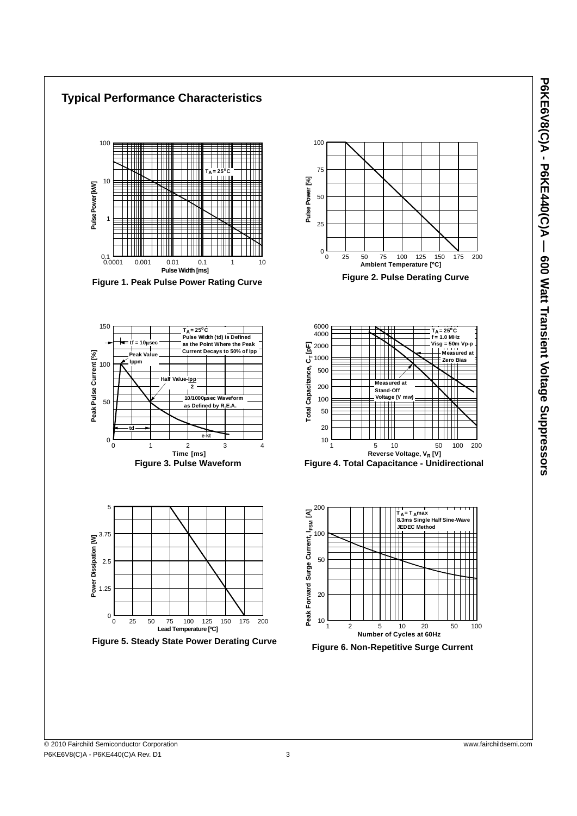

P6KE6V8(C)A - P6KE440(C)A - 600 Watt Transient Voltage Suppressors **P6KE6V8(C)A - P6KE440(C)A — 600 Watt Transient Voltage Suppressors**